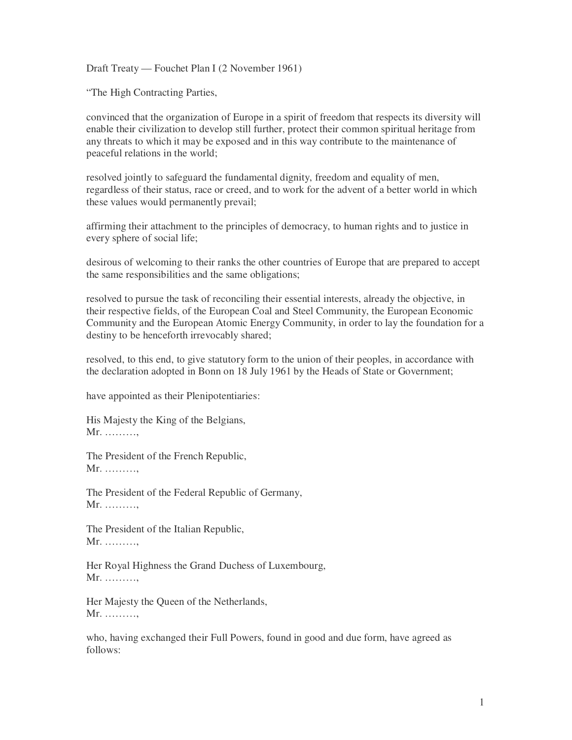Draft Treaty — Fouchet Plan I (2 November 1961)

"The High Contracting Parties,

convinced that the organization of Europe in a spirit of freedom that respects its diversity will enable their civilization to develop still further, protect their common spiritual heritage from any threats to which it may be exposed and in this way contribute to the maintenance of peaceful relations in the world;

resolved jointly to safeguard the fundamental dignity, freedom and equality of men, regardless of their status, race or creed, and to work for the advent of a better world in which these values would permanently prevail;

affirming their attachment to the principles of democracy, to human rights and to justice in every sphere of social life;

desirous of welcoming to their ranks the other countries of Europe that are prepared to accept the same responsibilities and the same obligations;

resolved to pursue the task of reconciling their essential interests, already the objective, in their respective fields, of the European Coal and Steel Community, the European Economic Community and the European Atomic Energy Community, in order to lay the foundation for a destiny to be henceforth irrevocably shared;

resolved, to this end, to give statutory form to the union of their peoples, in accordance with the declaration adopted in Bonn on 18 July 1961 by the Heads of State or Government;

have appointed as their Plenipotentiaries:

His Majesty the King of the Belgians, Mr. ………,

The President of the French Republic, Mr. ………,

The President of the Federal Republic of Germany, Mr. ………,

The President of the Italian Republic, Mr. ………,

Her Royal Highness the Grand Duchess of Luxembourg, Mr. ………,

Her Majesty the Queen of the Netherlands, Mr. ………,

who, having exchanged their Full Powers, found in good and due form, have agreed as follows: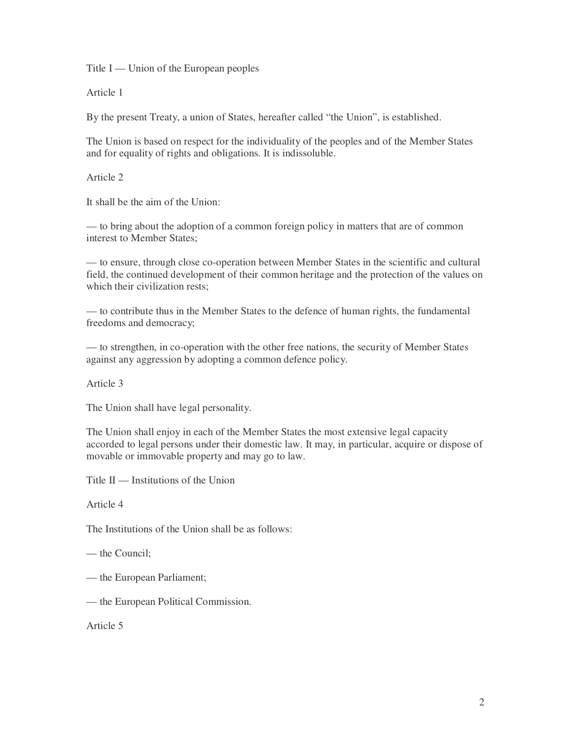Title I — Union of the European peoples

Article 1

By the present Treaty, a union of States, hereafter called "the Union", is established.

The Union is based on respect for the individuality of the peoples and of the Member States and for equality of rights and obligations. It is indissoluble.

Article 2

It shall be the aim of the Union:

— to bring about the adoption of a common foreign policy in matters that are of common interest to Member States;

— to ensure, through close co-operation between Member States in the scientific and cultural field, the continued development of their common heritage and the protection of the values on which their civilization rests;

— to contribute thus in the Member States to the defence of human rights, the fundamental freedoms and democracy;

— to strengthen, in co-operation with the other free nations, the security of Member States against any aggression by adopting a common defence policy.

Article 3

The Union shall have legal personality.

The Union shall enjoy in each of the Member States the most extensive legal capacity accorded to legal persons under their domestic law. It may, in particular, acquire or dispose of movable or immovable property and may go to law.

Title II — Institutions of the Union

Article 4

The Institutions of the Union shall be as follows:

— the Council;

- the European Parliament;
- the European Political Commission.

Article 5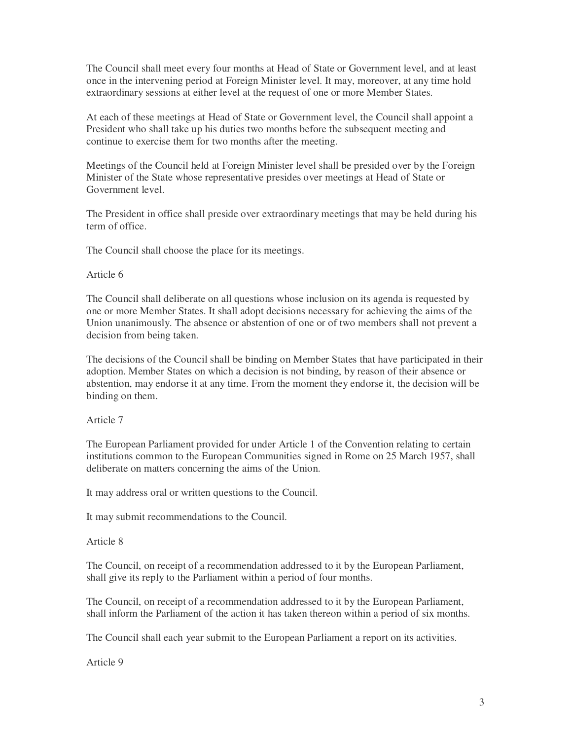The Council shall meet every four months at Head of State or Government level, and at least once in the intervening period at Foreign Minister level. It may, moreover, at any time hold extraordinary sessions at either level at the request of one or more Member States.

At each of these meetings at Head of State or Government level, the Council shall appoint a President who shall take up his duties two months before the subsequent meeting and continue to exercise them for two months after the meeting.

Meetings of the Council held at Foreign Minister level shall be presided over by the Foreign Minister of the State whose representative presides over meetings at Head of State or Government level.

The President in office shall preside over extraordinary meetings that may be held during his term of office.

The Council shall choose the place for its meetings.

## Article 6

The Council shall deliberate on all questions whose inclusion on its agenda is requested by one or more Member States. It shall adopt decisions necessary for achieving the aims of the Union unanimously. The absence or abstention of one or of two members shall not prevent a decision from being taken.

The decisions of the Council shall be binding on Member States that have participated in their adoption. Member States on which a decision is not binding, by reason of their absence or abstention, may endorse it at any time. From the moment they endorse it, the decision will be binding on them.

## Article 7

The European Parliament provided for under Article 1 of the Convention relating to certain institutions common to the European Communities signed in Rome on 25 March 1957, shall deliberate on matters concerning the aims of the Union.

It may address oral or written questions to the Council.

It may submit recommendations to the Council.

## Article 8

The Council, on receipt of a recommendation addressed to it by the European Parliament, shall give its reply to the Parliament within a period of four months.

The Council, on receipt of a recommendation addressed to it by the European Parliament, shall inform the Parliament of the action it has taken thereon within a period of six months.

The Council shall each year submit to the European Parliament a report on its activities.

Article 9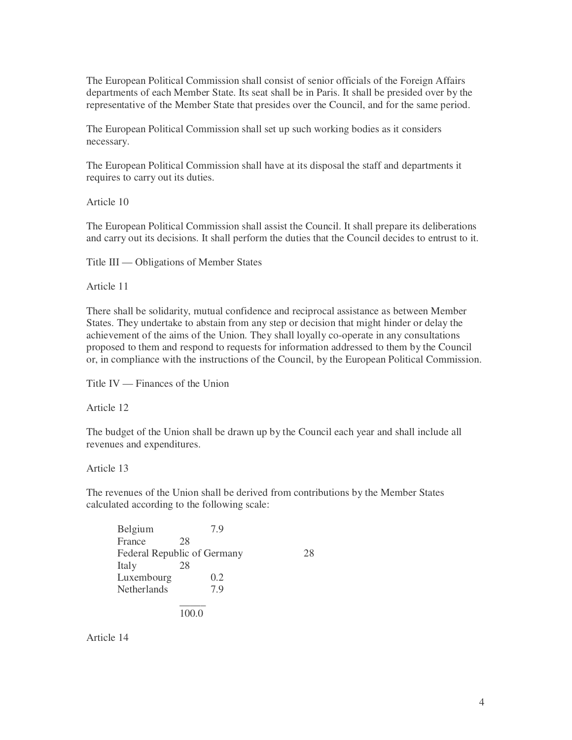The European Political Commission shall consist of senior officials of the Foreign Affairs departments of each Member State. Its seat shall be in Paris. It shall be presided over by the representative of the Member State that presides over the Council, and for the same period.

The European Political Commission shall set up such working bodies as it considers necessary.

The European Political Commission shall have at its disposal the staff and departments it requires to carry out its duties.

Article 10

The European Political Commission shall assist the Council. It shall prepare its deliberations and carry out its decisions. It shall perform the duties that the Council decides to entrust to it.

Title III — Obligations of Member States

Article 11

There shall be solidarity, mutual confidence and reciprocal assistance as between Member States. They undertake to abstain from any step or decision that might hinder or delay the achievement of the aims of the Union. They shall loyally co-operate in any consultations proposed to them and respond to requests for information addressed to them by the Council or, in compliance with the instructions of the Council, by the European Political Commission.

Title IV — Finances of the Union

Article 12

The budget of the Union shall be drawn up by the Council each year and shall include all revenues and expenditures.

Article 13

The revenues of the Union shall be derived from contributions by the Member States calculated according to the following scale:

| Belgium     | 7.9                         |    |
|-------------|-----------------------------|----|
| France      | 28                          |    |
|             | Federal Republic of Germany | 28 |
| Italy       | 28                          |    |
| Luxembourg  | 0.2                         |    |
| Netherlands | 7.9                         |    |

Article 14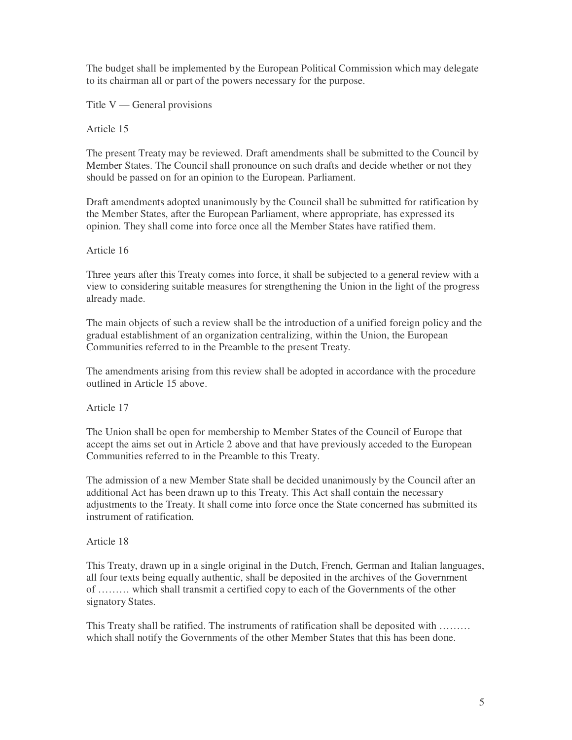The budget shall be implemented by the European Political Commission which may delegate to its chairman all or part of the powers necessary for the purpose.

Title V — General provisions

Article 15

The present Treaty may be reviewed. Draft amendments shall be submitted to the Council by Member States. The Council shall pronounce on such drafts and decide whether or not they should be passed on for an opinion to the European. Parliament.

Draft amendments adopted unanimously by the Council shall be submitted for ratification by the Member States, after the European Parliament, where appropriate, has expressed its opinion. They shall come into force once all the Member States have ratified them.

Article 16

Three years after this Treaty comes into force, it shall be subjected to a general review with a view to considering suitable measures for strengthening the Union in the light of the progress already made.

The main objects of such a review shall be the introduction of a unified foreign policy and the gradual establishment of an organization centralizing, within the Union, the European Communities referred to in the Preamble to the present Treaty.

The amendments arising from this review shall be adopted in accordance with the procedure outlined in Article 15 above.

Article 17

The Union shall be open for membership to Member States of the Council of Europe that accept the aims set out in Article 2 above and that have previously acceded to the European Communities referred to in the Preamble to this Treaty.

The admission of a new Member State shall be decided unanimously by the Council after an additional Act has been drawn up to this Treaty. This Act shall contain the necessary adjustments to the Treaty. It shall come into force once the State concerned has submitted its instrument of ratification.

Article 18

This Treaty, drawn up in a single original in the Dutch, French, German and Italian languages, all four texts being equally authentic, shall be deposited in the archives of the Government of ……… which shall transmit a certified copy to each of the Governments of the other signatory States.

This Treaty shall be ratified. The instruments of ratification shall be deposited with ……… which shall notify the Governments of the other Member States that this has been done.